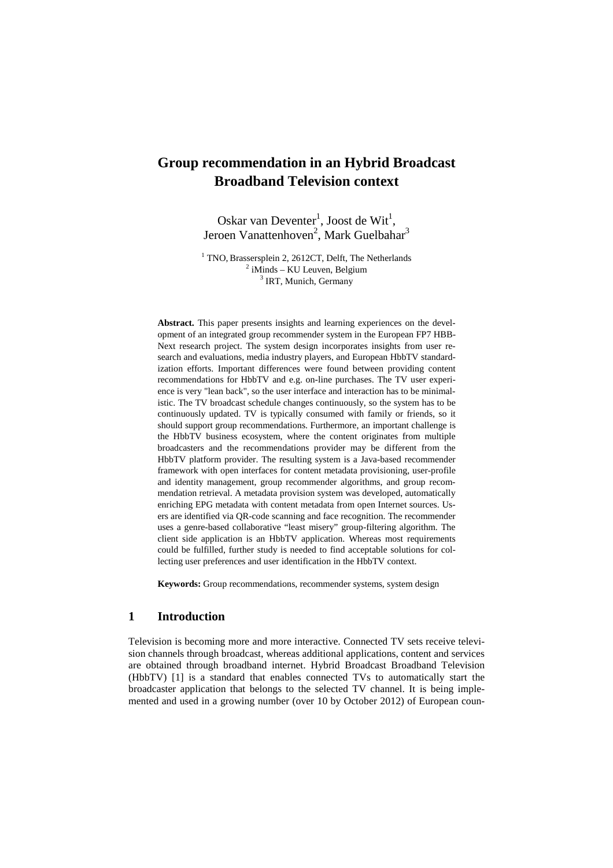# **Group recommendation in an Hybrid Broadcast Broadband Television context**

Oskar van Deventer<sup>1</sup>, Joost de Wit<sup>1</sup>, Jeroen Vanattenhoven<sup>2</sup>, Mark Guelbahar<sup>3</sup>

<sup>1</sup> TNO, Brassersplein 2, 2612CT, Delft, The Netherlands  $2$  iMinds – KU Leuven, Belgium <sup>3</sup> IRT, Munich, Germany

**Abstract.** This paper presents insights and learning experiences on the development of an integrated group recommender system in the European FP7 HBB-Next research project. The system design incorporates insights from user research and evaluations, media industry players, and European HbbTV standardization efforts. Important differences were found between providing content recommendations for HbbTV and e.g. on-line purchases. The TV user experience is very "lean back", so the user interface and interaction has to be minimalistic. The TV broadcast schedule changes continuously, so the system has to be continuously updated. TV is typically consumed with family or friends, so it should support group recommendations. Furthermore, an important challenge is the HbbTV business ecosystem, where the content originates from multiple broadcasters and the recommendations provider may be different from the HbbTV platform provider. The resulting system is a Java-based recommender framework with open interfaces for content metadata provisioning, user-profile and identity management, group recommender algorithms, and group recommendation retrieval. A metadata provision system was developed, automatically enriching EPG metadata with content metadata from open Internet sources. Users are identified via QR-code scanning and face recognition. The recommender uses a genre-based collaborative "least misery" group-filtering algorithm. The client side application is an HbbTV application. Whereas most requirements could be fulfilled, further study is needed to find acceptable solutions for collecting user preferences and user identification in the HbbTV context.

**Keywords:** Group recommendations, recommender systems, system design

#### **1 Introduction**

Television is becoming more and more interactive. Connected TV sets receive television channels through broadcast, whereas additional applications, content and services are obtained through broadband internet. Hybrid Broadcast Broadband Television (HbbTV) [1] is a standard that enables connected TVs to automatically start the broadcaster application that belongs to the selected TV channel. It is being implemented and used in a growing number (over 10 by October 2012) of European coun-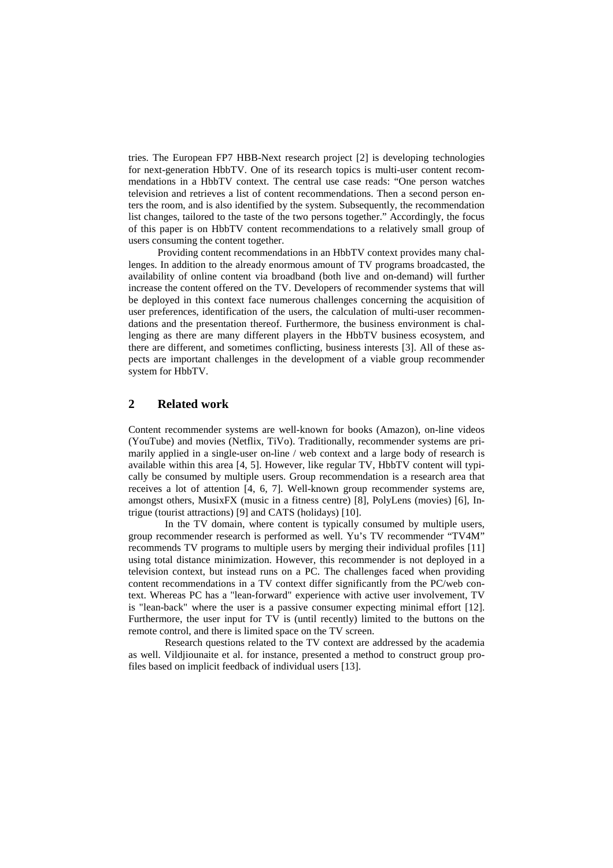tries. The European FP7 HBB-Next research project [2] is developing technologies for next-generation HbbTV. One of its research topics is multi-user content recommendations in a HbbTV context. The central use case reads: "One person watches television and retrieves a list of content recommendations. Then a second person enters the room, and is also identified by the system. Subsequently, the recommendation list changes, tailored to the taste of the two persons together." Accordingly, the focus of this paper is on HbbTV content recommendations to a relatively small group of users consuming the content together.

Providing content recommendations in an HbbTV context provides many challenges. In addition to the already enormous amount of TV programs broadcasted, the availability of online content via broadband (both live and on-demand) will further increase the content offered on the TV. Developers of recommender systems that will be deployed in this context face numerous challenges concerning the acquisition of user preferences, identification of the users, the calculation of multi-user recommendations and the presentation thereof. Furthermore, the business environment is challenging as there are many different players in the HbbTV business ecosystem, and there are different, and sometimes conflicting, business interests [3]. All of these aspects are important challenges in the development of a viable group recommender system for HbbTV.

## **2 Related work**

Content recommender systems are well-known for books (Amazon), on-line videos (YouTube) and movies (Netflix, TiVo). Traditionally, recommender systems are primarily applied in a single-user on-line / web context and a large body of research is available within this area [4, 5]. However, like regular TV, HbbTV content will typically be consumed by multiple users. Group recommendation is a research area that receives a lot of attention [4, 6, 7]. Well-known group recommender systems are, amongst others, MusixFX (music in a fitness centre) [8], PolyLens (movies) [6], Intrigue (tourist attractions) [9] and CATS (holidays) [10].

In the TV domain, where content is typically consumed by multiple users, group recommender research is performed as well. Yu's TV recommender "TV4M" recommends TV programs to multiple users by merging their individual profiles [11] using total distance minimization. However, this recommender is not deployed in a television context, but instead runs on a PC. The challenges faced when providing content recommendations in a TV context differ significantly from the PC/web context. Whereas PC has a "lean-forward" experience with active user involvement, TV is "lean-back" where the user is a passive consumer expecting minimal effort [12]. Furthermore, the user input for TV is (until recently) limited to the buttons on the remote control, and there is limited space on the TV screen.

Research questions related to the TV context are addressed by the academia as well. Vildjiounaite et al. for instance, presented a method to construct group profiles based on implicit feedback of individual users [13].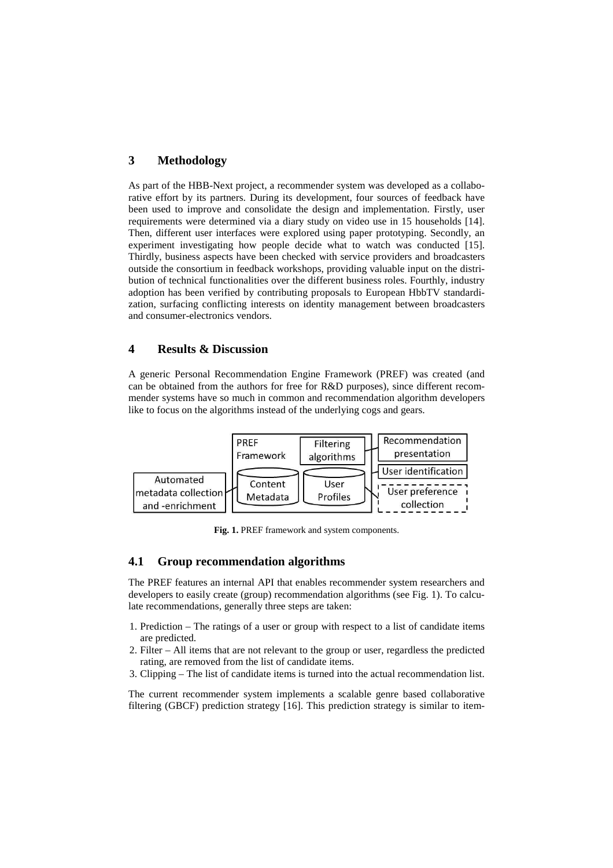### **3 Methodology**

As part of the HBB-Next project, a recommender system was developed as a collaborative effort by its partners. During its development, four sources of feedback have been used to improve and consolidate the design and implementation. Firstly, user requirements were determined via a diary study on video use in 15 households [14]. Then, different user interfaces were explored using paper prototyping. Secondly, an experiment investigating how people decide what to watch was conducted [15]. Thirdly, business aspects have been checked with service providers and broadcasters outside the consortium in feedback workshops, providing valuable input on the distribution of technical functionalities over the different business roles. Fourthly, industry adoption has been verified by contributing proposals to European HbbTV standardization, surfacing conflicting interests on identity management between broadcasters and consumer-electronics vendors.

## **4 Results & Discussion**

A generic Personal Recommendation Engine Framework (PREF) was created (and can be obtained from the authors for free for R&D purposes), since different recommender systems have so much in common and recommendation algorithm developers like to focus on the algorithms instead of the underlying cogs and gears.



**Fig. 1.** PREF framework and system components.

### **4.1 Group recommendation algorithms**

The PREF features an internal API that enables recommender system researchers and developers to easily create (group) recommendation algorithms (see Fig. 1). To calculate recommendations, generally three steps are taken:

- 1. Prediction The ratings of a user or group with respect to a list of candidate items are predicted.
- 2. Filter All items that are not relevant to the group or user, regardless the predicted rating, are removed from the list of candidate items.
- 3. Clipping The list of candidate items is turned into the actual recommendation list.

The current recommender system implements a scalable genre based collaborative filtering (GBCF) prediction strategy [16]. This prediction strategy is similar to item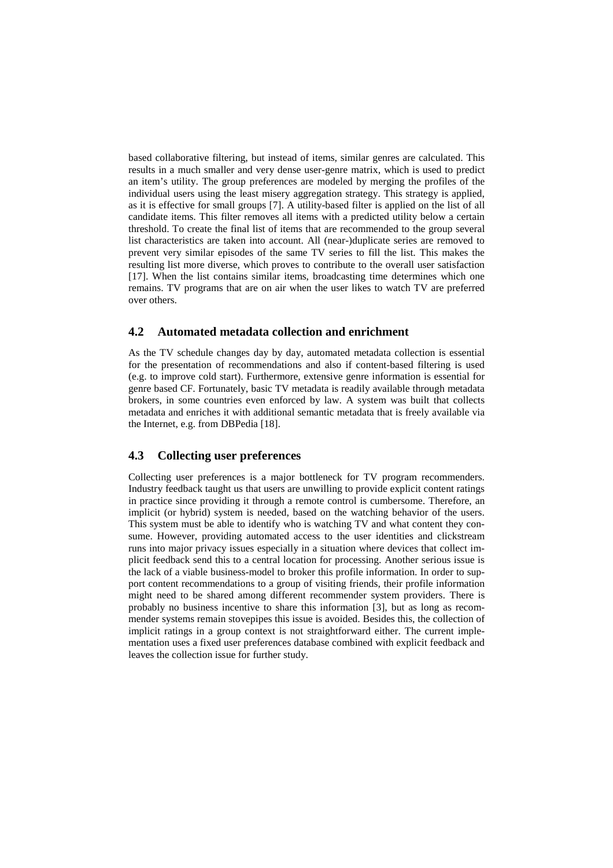based collaborative filtering, but instead of items, similar genres are calculated. This results in a much smaller and very dense user-genre matrix, which is used to predict an item's utility. The group preferences are modeled by merging the profiles of the individual users using the least misery aggregation strategy. This strategy is applied, as it is effective for small groups [7]. A utility-based filter is applied on the list of all candidate items. This filter removes all items with a predicted utility below a certain threshold. To create the final list of items that are recommended to the group several list characteristics are taken into account. All (near-)duplicate series are removed to prevent very similar episodes of the same TV series to fill the list. This makes the resulting list more diverse, which proves to contribute to the overall user satisfaction [17]. When the list contains similar items, broadcasting time determines which one remains. TV programs that are on air when the user likes to watch TV are preferred over others.

#### **4.2 Automated metadata collection and enrichment**

As the TV schedule changes day by day, automated metadata collection is essential for the presentation of recommendations and also if content-based filtering is used (e.g. to improve cold start). Furthermore, extensive genre information is essential for genre based CF. Fortunately, basic TV metadata is readily available through metadata brokers, in some countries even enforced by law. A system was built that collects metadata and enriches it with additional semantic metadata that is freely available via the Internet, e.g. from DBPedia [18].

#### **4.3 Collecting user preferences**

Collecting user preferences is a major bottleneck for TV program recommenders. Industry feedback taught us that users are unwilling to provide explicit content ratings in practice since providing it through a remote control is cumbersome. Therefore, an implicit (or hybrid) system is needed, based on the watching behavior of the users. This system must be able to identify who is watching TV and what content they consume. However, providing automated access to the user identities and clickstream runs into major privacy issues especially in a situation where devices that collect implicit feedback send this to a central location for processing. Another serious issue is the lack of a viable business-model to broker this profile information. In order to support content recommendations to a group of visiting friends, their profile information might need to be shared among different recommender system providers. There is probably no business incentive to share this information [3], but as long as recommender systems remain stovepipes this issue is avoided. Besides this, the collection of implicit ratings in a group context is not straightforward either. The current implementation uses a fixed user preferences database combined with explicit feedback and leaves the collection issue for further study.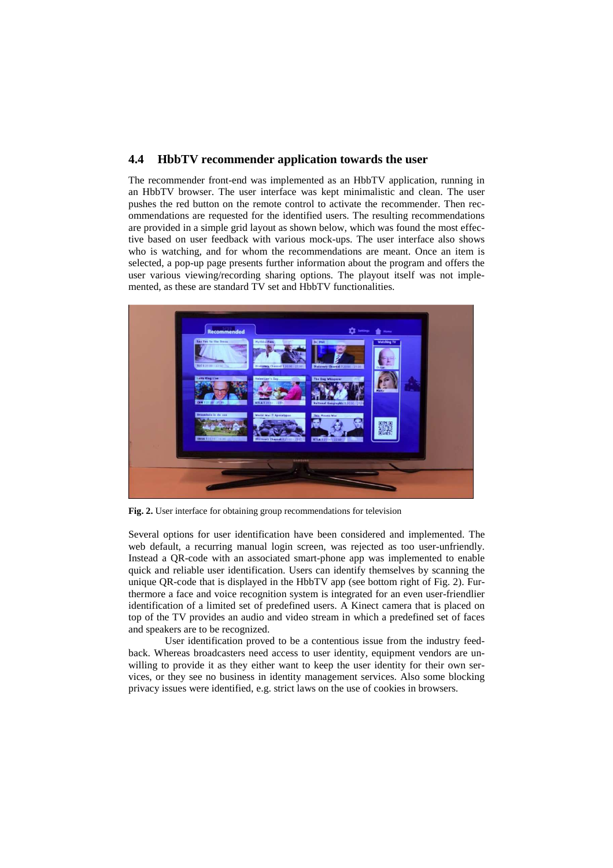#### **4.4 HbbTV recommender application towards the user**

The recommender front-end was implemented as an HbbTV application, running in an HbbTV browser. The user interface was kept minimalistic and clean. The user pushes the red button on the remote control to activate the recommender. Then recommendations are requested for the identified users. The resulting recommendations are provided in a simple grid layout as shown below, which was found the most effective based on user feedback with various mock-ups. The user interface also shows who is watching, and for whom the recommendations are meant. Once an item is selected, a pop-up page presents further information about the program and offers the user various viewing/recording sharing options. The playout itself was not implemented, as these are standard TV set and HbbTV functionalities.



**Fig. 2.** User interface for obtaining group recommendations for television

Several options for user identification have been considered and implemented. The web default, a recurring manual login screen, was rejected as too user-unfriendly. Instead a QR-code with an associated smart-phone app was implemented to enable quick and reliable user identification. Users can identify themselves by scanning the unique OR-code that is displayed in the HbbTV app (see bottom right of Fig. 2). Furthermore a face and voice recognition system is integrated for an even user-friendlier identification of a limited set of predefined users. A Kinect camera that is placed on top of the TV provides an audio and video stream in which a predefined set of faces and speakers are to be recognized.

 User identification proved to be a contentious issue from the industry feedback. Whereas broadcasters need access to user identity, equipment vendors are unwilling to provide it as they either want to keep the user identity for their own services, or they see no business in identity management services. Also some blocking privacy issues were identified, e.g. strict laws on the use of cookies in browsers.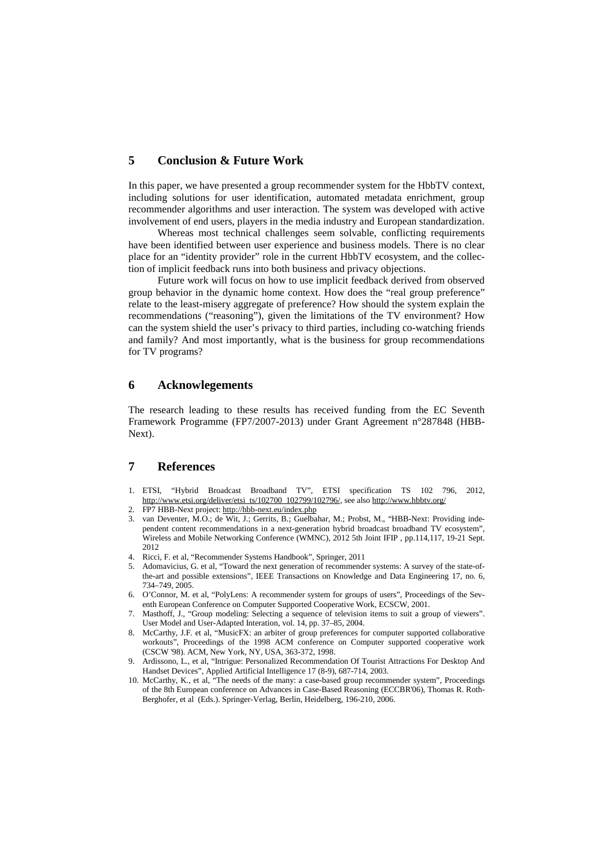#### **5 Conclusion & Future Work**

In this paper, we have presented a group recommender system for the HbbTV context, including solutions for user identification, automated metadata enrichment, group recommender algorithms and user interaction. The system was developed with active involvement of end users, players in the media industry and European standardization.

Whereas most technical challenges seem solvable, conflicting requirements have been identified between user experience and business models. There is no clear place for an "identity provider" role in the current HbbTV ecosystem, and the collection of implicit feedback runs into both business and privacy objections.

Future work will focus on how to use implicit feedback derived from observed group behavior in the dynamic home context. How does the "real group preference" relate to the least-misery aggregate of preference? How should the system explain the recommendations ("reasoning"), given the limitations of the TV environment? How can the system shield the user's privacy to third parties, including co-watching friends and family? And most importantly, what is the business for group recommendations for TV programs?

#### **6 Acknowlegements**

The research leading to these results has received funding from the EC Seventh Framework Programme (FP7/2007-2013) under Grant Agreement n°287848 (HBB-Next).

#### **7 References**

- 1. ETSI, "Hybrid Broadcast Broadband TV", ETSI specification TS 102 796, 2012, http://www.etsi.org/deliver/etsi\_ts/102700\_102799/102796/, see also http://www.hbbtv.org/
- 2. FP7 HBB-Next project: http://hbb-next.eu/index.php
- 3. van Deventer, M.O.; de Wit, J.; Gerrits, B.; Guelbahar, M.; Probst, M., "HBB-Next: Providing independent content recommendations in a next-generation hybrid broadcast broadband TV ecosystem", Wireless and Mobile Networking Conference (WMNC), 2012 5th Joint IFIP , pp.114,117, 19-21 Sept. 2012
- 4. Ricci, F. et al, "Recommender Systems Handbook", Springer, 2011
- 5. Adomavicius, G. et al, "Toward the next generation of recommender systems: A survey of the state-ofthe-art and possible extensions", IEEE Transactions on Knowledge and Data Engineering 17, no. 6, 734–749, 2005.
- 6. O'Connor, M. et al, "PolyLens: A recommender system for groups of users", Proceedings of the Seventh European Conference on Computer Supported Cooperative Work, ECSCW, 2001.
- 7. Masthoff, J., "Group modeling: Selecting a sequence of television items to suit a group of viewers". User Model and User-Adapted Interation, vol. 14, pp. 37–85, 2004.
- 8. McCarthy, J.F. et al, "MusicFX: an arbiter of group preferences for computer supported collaborative workouts", Proceedings of the 1998 ACM conference on Computer supported cooperative work (CSCW '98). ACM, New York, NY, USA, 363-372, 1998.
- 9. Ardissono, L., et al, "Intrigue: Personalized Recommendation Of Tourist Attractions For Desktop And Handset Devices", Applied Artificial Intelligence 17 (8-9), 687-714, 2003.
- 10. McCarthy, K., et al, "The needs of the many: a case-based group recommender system", Proceedings of the 8th European conference on Advances in Case-Based Reasoning (ECCBR'06), Thomas R. Roth-Berghofer, et al (Eds.). Springer-Verlag, Berlin, Heidelberg, 196-210, 2006.